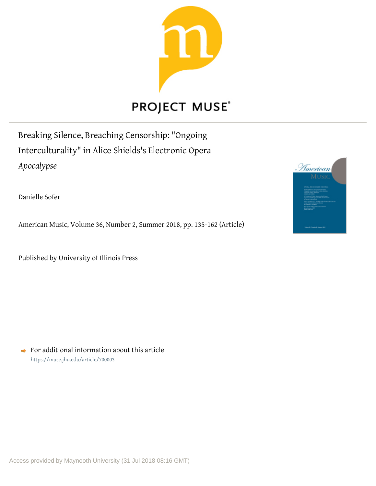

## **PROJECT MUSE®**

Breaking Silence, Breaching Censorship: "Ongoing Interculturality" in Alice Shields's Electronic Opera *Apocalypse*

Danielle Sofer

American Music, Volume 36, Number 2, Summer 2018, pp. 135-162 (Article)

Published by University of Illinois Press

 $\rightarrow$  For additional information about this article <https://muse.jhu.edu/article/700003>

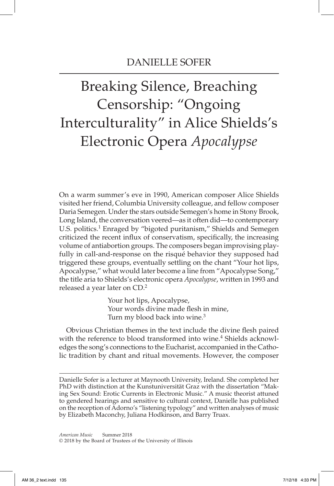# Breaking Silence, Breaching Censorship: "Ongoing Interculturality" in Alice Shields's Electronic Opera *Apocalypse*

On a warm summer's eve in 1990, American composer Alice Shields visited her friend, Columbia University colleague, and fellow composer Daria Semegen. Under the stars outside Semegen's home in Stony Brook, Long Island, the conversation veered—as it often did—to contemporary U.S. politics.<sup>1</sup> Enraged by "bigoted puritanism," Shields and Semegen criticized the recent influx of conservatism, specifically, the increasing volume of antiabortion groups. The composers began improvising playfully in call-and-response on the risqué behavior they supposed had triggered these groups, eventually settling on the chant "Your hot lips, Apocalypse," what would later become a line from "Apocalypse Song," the title aria to Shields's electronic opera *Apocalypse*, written in 1993 and released a year later on CD.2

> Your hot lips, Apocalypse, Your words divine made flesh in mine, Turn my blood back into wine.<sup>3</sup>

 Obvious Christian themes in the text include the divine flesh paired with the reference to blood transformed into wine.<sup>4</sup> Shields acknowledges the song's connections to the Eucharist, accompanied in the Catholic tradition by chant and ritual movements. However, the composer

Danielle Sofer is a lecturer at Maynooth University, Ireland. She completed her PhD with distinction at the Kunstuniversität Graz with the dissertation "Making Sex Sound: Erotic Currents in Electronic Music." A music theorist attuned to gendered hearings and sensitive to cultural context, Danielle has published on the reception of Adorno's "listening typology" and written analyses of music by Elizabeth Maconchy, Juliana Hodkinson, and Barry Truax.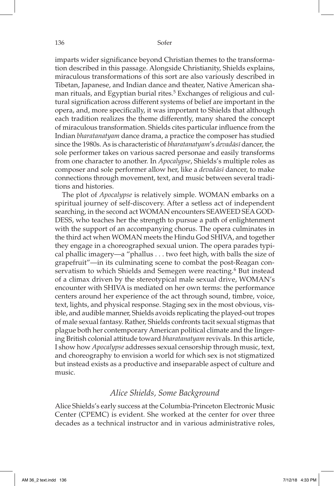imparts wider significance beyond Christian themes to the transformation described in this passage. Alongside Christianity, Shields explains, miraculous transformations of this sort are also variously described in Tibetan, Japanese, and Indian dance and theater, Native American shaman rituals, and Egyptian burial rites.<sup>5</sup> Exchanges of religious and cultural signification across different systems of belief are important in the opera, and, more specifically, it was important to Shields that although each tradition realizes the theme differently, many shared the concept of miraculous transformation. Shields cites particular influence from the Indian *bharatanatyam* dance drama, a practice the composer has studied since the 1980s. As is characteristic of *bharatanatyam*'s *devadāsī* dancer, the sole performer takes on various sacred personae and easily transforms from one character to another. In *Apocalypse*, Shields's multiple roles as composer and sole performer allow her, like a *devadāsī* dancer, to make connections through movement, text, and music between several traditions and histories.

The plot of *Apocalypse* is relatively simple. WOMAN embarks on a spiritual journey of self-discovery. After a setless act of independent searching, in the second act WOMAN encounters SEAWEED SEA GOD-DESS, who teaches her the strength to pursue a path of enlightenment with the support of an accompanying chorus. The opera culminates in the third act when WOMAN meets the Hindu God SHIVA, and together they engage in a choreographed sexual union. The opera parades typical phallic imagery—a "phallus . . . two feet high, with balls the size of grapefruit"—in its culminating scene to combat the post-Reagan conservatism to which Shields and Semegen were reacting.<sup>6</sup> But instead of a climax driven by the stereotypical male sexual drive, WOMAN's encounter with SHIVA is mediated on her own terms: the performance centers around her experience of the act through sound, timbre, voice, text, lights, and physical response. Staging sex in the most obvious, visible, and audible manner, Shields avoids replicating the played-out tropes of male sexual fantasy. Rather, Shields confronts tacit sexual stigmas that plague both her contemporary American political climate and the lingering British colonial attitude toward *bharatanatyam* revivals. In this article, I show how *Apocalypse* addresses sexual censorship through music, text, and choreography to envision a world for which sex is not stigmatized but instead exists as a productive and inseparable aspect of culture and music.

#### *Alice Shields, Some Background*

Alice Shields's early success at the Columbia-Princeton Electronic Music Center (CPEMC) is evident. She worked at the center for over three decades as a technical instructor and in various administrative roles,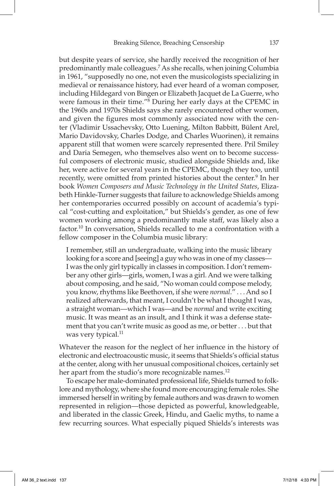but despite years of service, she hardly received the recognition of her predominantly male colleagues.7 As she recalls, when joining Columbia in 1961, "supposedly no one, not even the musicologists specializing in medieval or renaissance history, had ever heard of a woman composer, including Hildegard von Bingen or Elizabeth Jacquet de La Guerre, who were famous in their time."8 During her early days at the CPEMC in the 1960s and 1970s Shields says she rarely encountered other women, and given the figures most commonly associated now with the center (Vladimir Ussachevsky, Otto Luening, Milton Babbitt, Bülent Arel, Mario Davidovsky, Charles Dodge, and Charles Wuorinen), it remains apparent still that women were scarcely represented there. Pril Smiley and Daria Semegen, who themselves also went on to become successful composers of electronic music, studied alongside Shields and, like her, were active for several years in the CPEMC, though they too, until recently, were omitted from printed histories about the center.<sup>9</sup> In her book *Women Composers and Music Technology in the United States*, Elizabeth Hinkle-Turner suggests that failure to acknowledge Shields among her contemporaries occurred possibly on account of academia's typical "cost-cutting and exploitation," but Shields's gender, as one of few women working among a predominantly male staff, was likely also a factor.10 In conversation, Shields recalled to me a confrontation with a fellow composer in the Columbia music library:

I remember, still an undergraduate, walking into the music library looking for a score and [seeing] a guy who was in one of my classes— I was the only girl typically in classes in composition. I don't remember any other girls—girls, women, I was a girl. And we were talking about composing, and he said, "No woman could compose melody, you know, rhythms like Beethoven, if she were *normal*." . . . And so I realized afterwards, that meant, I couldn't be what I thought I was, a straight woman—which I was—and be *normal* and write exciting music. It was meant as an insult, and I think it was a defense statement that you can't write music as good as me, or better . . . but that was very typical.<sup>11</sup>

Whatever the reason for the neglect of her influence in the history of electronic and electroacoustic music, it seems that Shields's official status at the center, along with her unusual compositional choices, certainly set her apart from the studio's more recognizable names.<sup>12</sup>

To escape her male-dominated professional life, Shields turned to folklore and mythology, where she found more encouraging female roles. She immersed herself in writing by female authors and was drawn to women represented in religion—those depicted as powerful, knowledgeable, and liberated in the classic Greek, Hindu, and Gaelic myths, to name a few recurring sources. What especially piqued Shields's interests was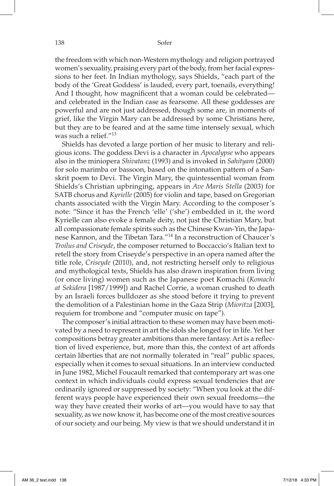the freedom with which non-Western mythology and religion portrayed women's sexuality, praising every part of the body, from her facial expressions to her feet. In Indian mythology, says Shields, "each part of the body of the 'Great Goddess' is lauded, every part, toenails, everything! And I thought, how magnificent that a woman could be celebrated and celebrated in the Indian case as fearsome. All these goddesses are powerful and are not just addressed, though some are, in moments of grief, like the Virgin Mary can be addressed by some Christians here, but they are to be feared and at the same time intensely sexual, which was such a relief."13

Shields has devoted a large portion of her music to literary and religious icons. The goddess Devi is a character in *Apocalypse* who appears also in the miniopera *Shivatanz* (1993) and is invoked in *Sahityam* (2000) for solo marimba or bassoon, based on the intonation pattern of a Sanskrit poem to Devi. The Virgin Mary, the quintessential woman from Shields's Christian upbringing, appears in *Ave Maris Stella* (2003) for SATB chorus and *Kyrielle* (2005) for violin and tape, based on Gregorian chants associated with the Virgin Mary. According to the composer's note: "Since it has the French 'elle' ('she') embedded in it, the word Kyrielle can also evoke a female deity, not just the Christian Mary, but all compassionate female spirits such as the Chinese Kwan-Yin, the Japanese Kannon, and the Tibetan Tara."14 In a reconstruction of Chaucer's *Troilus and Criseyde*, the composer returned to Boccaccio's Italian text to retell the story from Criseyde's perspective in an opera named after the title role, *Criseyde* (2010), and, not restricting herself only to religious and mythological texts, Shields has also drawn inspiration from living (or once living) women such as the Japanese poet Komachi (*Komachi at Sekidera* [1987/1999]) and Rachel Corrie, a woman crushed to death by an Israeli forces bulldozer as she stood before it trying to prevent the demolition of a Palestinian home in the Gaza Strip (*Mioritza* [2003], requiem for trombone and "computer music on tape").

The composer's initial attraction to these women may have been motivated by a need to represent in art the idols she longed for in life. Yet her compositions betray greater ambitions than mere fantasy. Art is a reflection of lived experience, but, more than this, the context of art affords certain liberties that are not normally tolerated in "real" public spaces, especially when it comes to sexual situations. In an interview conducted in June 1982, Michel Foucault remarked that contemporary art was one context in which individuals could express sexual tendencies that are ordinarily ignored or suppressed by society: "When you look at the different ways people have experienced their own sexual freedoms—the way they have created their works of art—you would have to say that sexuality, as we now know it, has become one of the most creative sources of our society and our being. My view is that we should understand it in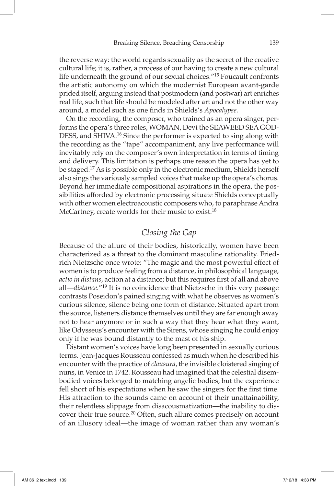the reverse way: the world regards sexuality as the secret of the creative cultural life; it is, rather, a process of our having to create a new cultural life underneath the ground of our sexual choices."15 Foucault confronts the artistic autonomy on which the modernist European avant-garde prided itself, arguing instead that postmodern (and postwar) art enriches real life, such that life should be modeled after art and not the other way around, a model such as one finds in Shields's *Apocalypse*.

 On the recording, the composer, who trained as an opera singer, performs the opera's three roles, WOMAN, Devi the SEAWEED SEA GOD-DESS, and SHIVA.<sup>16</sup> Since the performer is expected to sing along with the recording as the "tape" accompaniment, any live performance will inevitably rely on the composer's own interpretation in terms of timing and delivery. This limitation is perhaps one reason the opera has yet to be staged.17 As is possible only in the electronic medium, Shields herself also sings the variously sampled voices that make up the opera's chorus. Beyond her immediate compositional aspirations in the opera, the possibilities afforded by electronic processing situate Shields conceptually with other women electroacoustic composers who, to paraphrase Andra McCartney, create worlds for their music to exist.<sup>18</sup>

## *Closing the Gap*

Because of the allure of their bodies, historically, women have been characterized as a threat to the dominant masculine rationality. Friedrich Nietzsche once wrote: "The magic and the most powerful effect of women is to produce feeling from a distance, in philosophical language, *actio in distans*, action at a distance; but this requires first of all and above all—*distance.*"19 It is no coincidence that Nietzsche in this very passage contrasts Poseidon's pained singing with what he observes as women's curious silence, silence being one form of distance. Situated apart from the source, listeners distance themselves until they are far enough away not to hear anymore or in such a way that they hear what they want, like Odysseus's encounter with the Sirens, whose singing he could enjoy only if he was bound distantly to the mast of his ship.

Distant women's voices have long been presented in sexually curious terms. Jean-Jacques Rousseau confessed as much when he described his encounter with the practice of *clausura*, the invisible cloistered singing of nuns, in Venice in 1742. Rousseau had imagined that the celestial disembodied voices belonged to matching angelic bodies, but the experience fell short of his expectations when he saw the singers for the first time. His attraction to the sounds came on account of their unattainability, their relentless slippage from disacousmatization—the inability to discover their true source.<sup>20</sup> Often, such allure comes precisely on account of an illusory ideal—the image of woman rather than any woman's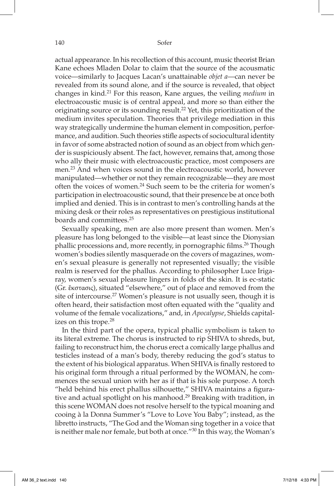actual appearance. In his recollection of this account, music theorist Brian Kane echoes Mladen Dolar to claim that the source of the acousmatic voice—similarly to Jacques Lacan's unattainable *objet a*—can never be revealed from its sound alone, and if the source is revealed, that object changes in kind.21 For this reason, Kane argues, the veiling *medium* in electroacoustic music is of central appeal, and more so than either the originating source or its sounding result.22 Yet, this prioritization of the medium invites speculation. Theories that privilege mediation in this way strategically undermine the human element in composition, performance, and audition. Such theories stifle aspects of sociocultural identity in favor of some abstracted notion of sound as an object from which gender is suspiciously absent. The fact, however, remains that, among those who ally their music with electroacoustic practice, most composers are men.23 And when voices sound in the electroacoustic world, however manipulated—whether or not they remain recognizable—they are most often the voices of women.24 Such seem to be the criteria for women's participation in electroacoustic sound, that their presence be at once both implied and denied. This is in contrast to men's controlling hands at the mixing desk or their roles as representatives on prestigious institutional boards and committees.25

Sexually speaking, men are also more present than women. Men's pleasure has long belonged to the visible—at least since the Dionysian phallic processions and, more recently, in pornographic films.26 Though women's bodies silently masquerade on the covers of magazines, women's sexual pleasure is generally not represented visually; the visible realm is reserved for the phallus. According to philosopher Luce Irigaray, women's sexual pleasure lingers in folds of the skin. It is ec-static (Gr. ἔκστασις), situated "elsewhere," out of place and removed from the site of intercourse.<sup>27</sup> Women's pleasure is not usually seen, though it is often heard, their satisfaction most often equated with the "quality and volume of the female vocalizations," and, in *Apocalypse*, Shields capitalizes on this trope.<sup>28</sup>

In the third part of the opera, typical phallic symbolism is taken to its literal extreme. The chorus is instructed to rip SHIVA to shreds, but, failing to reconstruct him, the chorus erect a comically large phallus and testicles instead of a man's body, thereby reducing the god's status to the extent of his biological apparatus. When SHIVA is finally restored to his original form through a ritual performed by the WOMAN, he commences the sexual union with her as if that is his sole purpose. A torch "held behind his erect phallus silhouette," SHIVA maintains a figurative and actual spotlight on his manhood.<sup>29</sup> Breaking with tradition, in this scene WOMAN does not resolve herself to the typical moaning and cooing à la Donna Summer's "Love to Love You Baby"; instead, as the libretto instructs, "The God and the Woman sing together in a voice that is neither male nor female, but both at once."30 In this way, the Woman's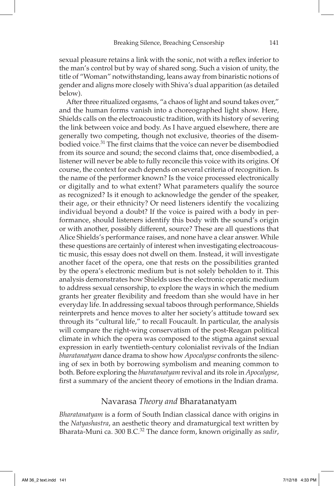sexual pleasure retains a link with the sonic, not with a reflex inferior to the man's control but by way of shared song. Such a vision of unity, the title of "Woman" notwithstanding, leans away from binaristic notions of gender and aligns more closely with Shiva's dual apparition (as detailed below).

After three ritualized orgasms, "a chaos of light and sound takes over," and the human forms vanish into a choreographed light show. Here, Shields calls on the electroacoustic tradition, with its history of severing the link between voice and body. As I have argued elsewhere, there are generally two competing, though not exclusive, theories of the disembodied voice.31 The first claims that the voice can never be disembodied from its source and sound; the second claims that, once disembodied, a listener will never be able to fully reconcile this voice with its origins. Of course, the context for each depends on several criteria of recognition. Is the name of the performer known? Is the voice processed electronically or digitally and to what extent? What parameters qualify the source as recognized? Is it enough to acknowledge the gender of the speaker, their age, or their ethnicity? Or need listeners identify the vocalizing individual beyond a doubt? If the voice is paired with a body in performance, should listeners identify this body with the sound's origin or with another, possibly different, source? These are all questions that Alice Shields's performance raises, and none have a clear answer. While these questions are certainly of interest when investigating electroacoustic music, this essay does not dwell on them. Instead, it will investigate another facet of the opera, one that rests on the possibilities granted by the opera's electronic medium but is not solely beholden to it. This analysis demonstrates how Shields uses the electronic operatic medium to address sexual censorship, to explore the ways in which the medium grants her greater flexibility and freedom than she would have in her everyday life. In addressing sexual taboos through performance, Shields reinterprets and hence moves to alter her society's attitude toward sex through its "cultural life," to recall Foucault. In particular, the analysis will compare the right-wing conservatism of the post-Reagan political climate in which the opera was composed to the stigma against sexual expression in early twentieth-century colonialist revivals of the Indian *bharatanatyam* dance drama to show how *Apocalypse* confronts the silencing of sex in both by borrowing symbolism and meaning common to both. Before exploring the *bharatanatyam* revival and its role in *Apocalypse*, first a summary of the ancient theory of emotions in the Indian drama.

#### Navarasa *Theory and* Bharatanatyam

*Bharatanatyam* is a form of South Indian classical dance with origins in the *Natyashastra*, an aesthetic theory and dramaturgical text written by Bharata-Muni ca. 300 B.C.32 The dance form, known originally as *sadir*,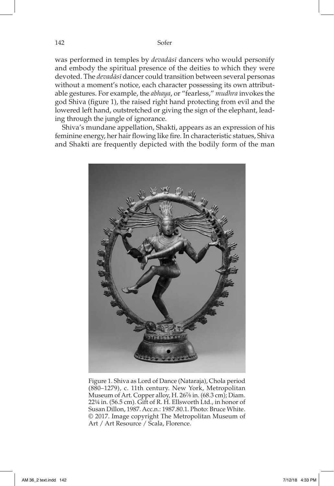was performed in temples by *devadāsī* dancers who would personify and embody the spiritual presence of the deities to which they were devoted. The *devadāsī* dancer could transition between several personas without a moment's notice, each character possessing its own attributable gestures. For example, the *abhaya*, or "fearless," *mudhra* invokes the god Shiva (figure 1), the raised right hand protecting from evil and the lowered left hand, outstretched or giving the sign of the elephant, leading through the jungle of ignorance.

Shiva's mundane appellation, Shakti, appears as an expression of his feminine energy, her hair flowing like fire. In characteristic statues, Shiva and Shakti are frequently depicted with the bodily form of the man



Figure 1. Shiva as Lord of Dance (Nataraja), Chola period (880–1279), c. 11th century. New York, Metropolitan Museum of Art. Copper alloy, H. 267⁄8 in. (68.3 cm); Diam. 22¼ in. (56.5 cm). Gift of R. H. Ellsworth Ltd., in honor of Susan Dillon, 1987. Acc.n.: 1987.80.1. Photo: Bruce White. © 2017. Image copyright The Metropolitan Museum of Art / Art Resource / Scala, Florence.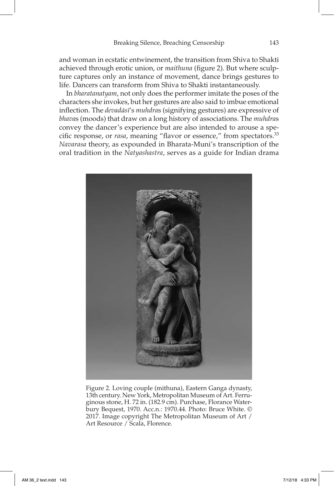and woman in ecstatic entwinement, the transition from Shiva to Shakti achieved through erotic union, or *maithuna* (figure 2). But where sculpture captures only an instance of movement, dance brings gestures to life. Dancers can transform from Shiva to Shakti instantaneously.

In *bharatanatyam*, not only does the performer imitate the poses of the characters she invokes, but her gestures are also said to imbue emotional inflection. The *devadāsī*'s *muhdra*s (signifying gestures) are expressive of *bhava*s (moods) that draw on a long history of associations. The *muhdra*s convey the dancer's experience but are also intended to arouse a specific response, or *rasa*, meaning "flavor or essence," from spectators.33 *Navarasa* theory, as expounded in Bharata-Muni's transcription of the oral tradition in the *Natyashastra*, serves as a guide for Indian drama



Figure 2. Loving couple (mithuna), Eastern Ganga dynasty, 13th century. New York, Metropolitan Museum of Art. Ferruginous stone, H. 72 in. (182.9 cm). Purchase, Florance Waterbury Bequest, 1970. Acc.n.: 1970.44. Photo: Bruce White. © 2017. Image copyright The Metropolitan Museum of Art / Art Resource / Scala, Florence.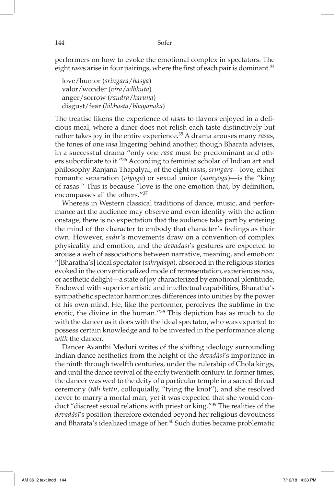performers on how to evoke the emotional complex in spectators. The eight *rasas* arise in four pairings, where the first of each pair is dominant.<sup>34</sup>

love/humor (*sringara*/*hasya*) valor/wonder (*vira*/*adbhuta*) anger/sorrow (*raudra*/*karuna*) disgust/fear (*bibhasta*/*bhayanaka*)

The treatise likens the experience of *rasa*s to flavors enjoyed in a delicious meal, where a diner does not relish each taste distinctively but rather takes joy in the entire experience.35 A drama arouses many *rasa*s, the tones of one *rasa* lingering behind another, though Bharata advises, in a successful drama "only one *rasa* must be predominant and others subordinate to it."36 According to feminist scholar of Indian art and philosophy Ranjana Thapalyal, of the eight *rasa*s, *sringara*—love, either romantic separation (*viyoga*) or sexual union (*samyoga*)—is the "king of rasas." This is because "love is the one emotion that, by definition, encompasses all the others."37

Whereas in Western classical traditions of dance, music, and performance art the audience may observe and even identify with the action onstage, there is no expectation that the audience take part by entering the mind of the character to embody that character's feelings as their own. However, *sadir*'s movements draw on a convention of complex physicality and emotion, and the *devadāsī*'s gestures are expected to arouse a web of associations between narrative, meaning, and emotion: "[Bharatha's] ideal spectator (*sahrydaya*), absorbed in the religious stories evoked in the conventionalized mode of representation, experiences *rasa*, or aesthetic delight—a state of joy characterized by emotional plentitude. Endowed with superior artistic and intellectual capabilities, Bharatha's sympathetic spectator harmonizes differences into unities by the power of his own mind. He, like the performer, perceives the sublime in the erotic, the divine in the human."38 This depiction has as much to do with the dancer as it does with the ideal spectator, who was expected to possess certain knowledge and to be invested in the performance along *with* the dancer.

Dancer Avanthi Meduri writes of the shifting ideology surrounding Indian dance aesthetics from the height of the *devadāsī*'s importance in the ninth through twelfth centuries, under the rulership of Chola kings, and until the dance revival of the early twentieth century. In former times, the dancer was wed to the deity of a particular temple in a sacred thread ceremony (*tāli kettu*, colloquially, "tying the knot"), and she resolved never to marry a mortal man, yet it was expected that she would conduct "discreet sexual relations with priest or king."<sup>39</sup> The realities of the *devadāsī*'s position therefore extended beyond her religious devoutness and Bharata's idealized image of her.<sup>40</sup> Such duties became problematic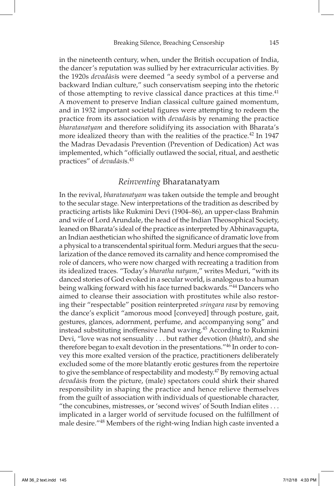in the nineteenth century, when, under the British occupation of India, the dancer's reputation was sullied by her extracurricular activities. By the 1920s *devadāsī*s were deemed "a seedy symbol of a perverse and backward Indian culture," such conservatism seeping into the rhetoric of those attempting to revive classical dance practices at this time.<sup>41</sup> A movement to preserve Indian classical culture gained momentum, and in 1932 important societal figures were attempting to redeem the practice from its association with *devadāsī*s by renaming the practice *bharatanatyam* and therefore solidifying its association with Bharata's more idealized theory than with the realities of the practice.<sup>42</sup> In 1947 the Madras Devadasis Prevention (Prevention of Dedication) Act was implemented, which "officially outlawed the social, ritual, and aesthetic practices" of *devadāsī*s.43

#### *Reinventing* Bharatanatyam

In the revival, *bharatanatyam* was taken outside the temple and brought to the secular stage. New interpretations of the tradition as described by practicing artists like Rukmini Devi (1904–86), an upper-class Brahmin and wife of Lord Arundale, the head of the Indian Theosophical Society, leaned on Bharata's ideal of the practice as interpreted by Abhinavagupta, an Indian aesthetician who shifted the significance of dramatic love from a physical to a transcendental spiritual form. Meduri argues that the secularization of the dance removed its carnality and hence compromised the role of dancers, who were now charged with recreating a tradition from its idealized traces. "Today's *bharatha natyam*," writes Meduri, "with its danced stories of God evoked in a secular world, is analogous to a human being walking forward with his face turned backwards."<sup>44</sup> Dancers who aimed to cleanse their association with prostitutes while also restoring their "respectable" position reinterpreted *sringara rasa* by removing the dance's explicit "amorous mood [conveyed] through posture, gait, gestures, glances, adornment, perfume, and accompanying song" and instead substituting inoffensive hand waving.45 According to Rukmini Devi, "love was not sensuality . . . but rather devotion (*bhakti*), and she therefore began to exalt devotion in the presentations."46 In order to convey this more exalted version of the practice, practitioners deliberately excluded some of the more blatantly erotic gestures from the repertoire to give the semblance of respectability and modesty.<sup>47</sup> By removing actual *devadāsī*s from the picture, (male) spectators could shirk their shared responsibility in shaping the practice and hence relieve themselves from the guilt of association with individuals of questionable character, "the concubines, mistresses, or 'second wives' of South Indian elites . . . implicated in a larger world of servitude focused on the fulfillment of male desire."48 Members of the right-wing Indian high caste invented a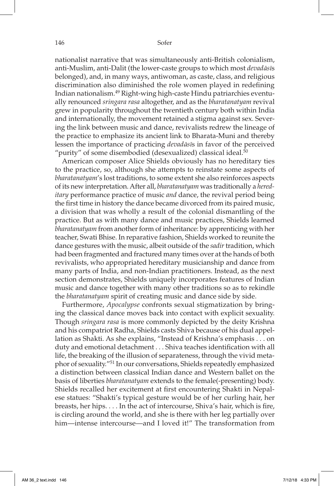nationalist narrative that was simultaneously anti-British colonialism, anti-Muslim, anti-Dalit (the lower-caste groups to which most *devadāsī*s belonged), and, in many ways, antiwoman, as caste, class, and religious discrimination also diminished the role women played in redefining Indian nationalism.49 Right-wing high-caste Hindu patriarchies eventually renounced *sringara rasa* altogether, and as the *bharatanatyam* revival grew in popularity throughout the twentieth century both within India and internationally, the movement retained a stigma against sex. Severing the link between music and dance, revivalists redrew the lineage of the practice to emphasize its ancient link to Bharata-Muni and thereby lessen the importance of practicing *devadāsī*s in favor of the perceived "purity" of some disembodied (desexualized) classical ideal.<sup>50</sup>

American composer Alice Shields obviously has no hereditary ties to the practice, so, although she attempts to reinstate some aspects of *bharatanatyam*'s lost traditions, to some extent she also reinforces aspects of its new interpretation. After all, *bharatanatyam* was traditionally a *hereditary* performance practice of music *and* dance, the revival period being the first time in history the dance became divorced from its paired music, a division that was wholly a result of the colonial dismantling of the practice. But as with many dance and music practices, Shields learned *bharatanatyam* from another form of inheritance: by apprenticing with her teacher, Swati Bhise. In reparative fashion, Shields worked to reunite the dance gestures with the music, albeit outside of the *sadir* tradition, which had been fragmented and fractured many times over at the hands of both revivalists, who appropriated hereditary musicianship and dance from many parts of India, and non-Indian practitioners. Instead, as the next section demonstrates, Shields uniquely incorporates features of Indian music and dance together with many other traditions so as to rekindle the *bharatanatyam* spirit of creating music and dance side by side.

Furthermore, *Apocalypse* confronts sexual stigmatization by bringing the classical dance moves back into contact with explicit sexuality. Though *sringara rasa* is more commonly depicted by the deity Krishna and his compatriot Radha, Shields casts Shiva because of his dual appellation as Shakti. As she explains, "Instead of Krishna's emphasis . . . on duty and emotional detachment . . . Shiva teaches identification with all life, the breaking of the illusion of separateness, through the vivid metaphor of sexuality."51 In our conversations, Shields repeatedly emphasized a distinction between classical Indian dance and Western ballet on the basis of liberties *bharatanatyam* extends to the female(-presenting) body. Shields recalled her excitement at first encountering Shakti in Nepalese statues: "Shakti's typical gesture would be of her curling hair, her breasts, her hips. . . . In the act of intercourse, Shiva's hair, which is fire, is circling around the world, and she is there with her leg partially over him—intense intercourse—and I loved it!" The transformation from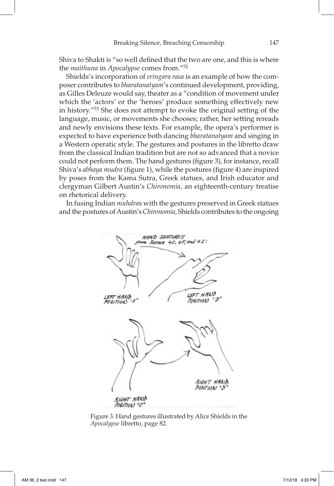Shiva to Shakti is "so well defined that the two are one, and this is where the *maithuna* in *Apocalypse* comes from."52

Shields's incorporation of *sringara rasa* is an example of how the composer contributes to *bharatanatyam*'s continued development, providing, as Gilles Deleuze would say, theater as a "condition of movement under which the 'actors' or the 'heroes' produce something effectively new in history."53 She does not attempt to evoke the original setting of the language, music, or movements she chooses; rather, her setting rereads and newly envisions these texts. For example, the opera's performer is expected to have experience both dancing *bharatanatyam* and singing in a Western operatic style. The gestures and postures in the libretto draw from the classical Indian tradition but are not so advanced that a novice could not perform them. The hand gestures (figure 3), for instance, recall Shiva's *abhaya mudra* (figure 1), while the postures (figure 4) are inspired by poses from the Kama Sutra, Greek statues, and Irish educator and clergyman Gilbert Austin's *Chironomia*, an eighteenth-century treatise on rhetorical delivery.

In fusing Indian *muhdra*s with the gestures preserved in Greek statues and the postures of Austin's *Chironomia*, Shields contributes to the ongoing



Figure 3. Hand gestures illustrated by Alice Shields in the *Apocalypse* libretto, page 82.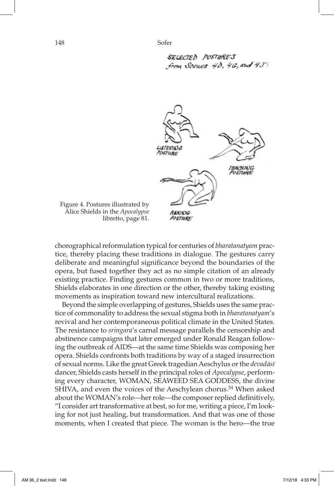```
SELECTED POSTURES
from Scenes 4\delta, 4G, and 4J:
```


Figure 4. Postures illustrated by Alice Shields in the *Apocalypse*  libretto, page 81.

chorographical reformulation typical for centuries of *bharatanatyam* practice, thereby placing these traditions in dialogue. The gestures carry deliberate and meaningful significance beyond the boundaries of the opera, but fused together they act as no simple citation of an already existing practice. Finding gestures common in two or more traditions, Shields elaborates in one direction or the other, thereby taking existing movements as inspiration toward new intercultural realizations.

 Beyond the simple overlapping of gestures, Shields uses the same practice of commonality to address the sexual stigma both in *bharatanatyam*'s revival and her contemporaneous political climate in the United States. The resistance to *sringara*'s carnal message parallels the censorship and abstinence campaigns that later emerged under Ronald Reagan following the outbreak of AIDS—at the same time Shields was composing her opera. Shields confronts both traditions by way of a staged insurrection of sexual norms. Like the great Greek tragedian Aeschylus or the *devadāsī* dancer, Shields casts herself in the principal roles of *Apocalypse*, performing every character, WOMAN, SEAWEED SEA GODDESS, the divine SHIVA, and even the voices of the Aeschylean chorus.<sup>54</sup> When asked about the WOMAN's role—her role—the composer replied definitively, "I consider art transformative at best, so for me, writing a piece, I'm looking for not just healing, but transformation. And that was one of those moments, when I created that piece. The woman is the hero—the true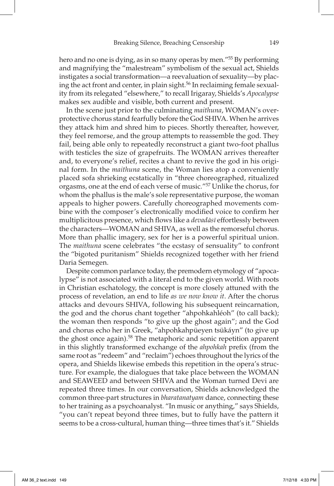hero and no one is dying, as in so many operas by men."55 By performing and magnifying the "malestream" symbolism of the sexual act, Shields instigates a social transformation—a reevaluation of sexuality—by placing the act front and center, in plain sight.<sup>56</sup> In reclaiming female sexuality from its relegated "elsewhere," to recall Irigaray, Shields's *Apocalypse* makes sex audible and visible, both current and present.

In the scene just prior to the culminating *maithuna*, WOMAN's overprotective chorus stand fearfully before the God SHIVA. When he arrives they attack him and shred him to pieces. Shortly thereafter, however, they feel remorse, and the group attempts to reassemble the god. They fail, being able only to repeatedly reconstruct a giant two-foot phallus with testicles the size of grapefruits. The WOMAN arrives thereafter and, to everyone's relief, recites a chant to revive the god in his original form. In the *maithuna* scene, the Woman lies atop a conveniently placed sofa shrieking ecstatically in "three choreographed, ritualized orgasms, one at the end of each verse of music."57 Unlike the chorus, for whom the phallus is the male's sole representative purpose, the woman appeals to higher powers. Carefully choreographed movements combine with the composer's electronically modified voice to confirm her multiplicitous presence, which flows like a *devadāsī* effortlessly between the characters—WOMAN and SHIVA, as well as the remorseful chorus. More than phallic imagery, sex for her is a powerful spiritual union. The *maithuna* scene celebrates "the ecstasy of sensuality" to confront the "bigoted puritanism" Shields recognized together with her friend Daria Semegen.

Despite common parlance today, the premodern etymology of "apocalypse" is not associated with a literal end to the given world. With roots in Christian eschatology, the concept is more closely attuned with the process of revelation, an end to life *as we now know it*. After the chorus attacks and devours SHIVA, following his subsequent reincarnation, the god and the chorus chant together "ahpohkahléoh" (to call back); the woman then responds "to give up the ghost again"; and the God and chorus echo her in Greek, "ahpohkahpüeyen tsükáyn" (to give up the ghost once again).<sup>58</sup> The metaphoric and sonic repetition apparent in this slightly transformed exchange of the *ahpohkah* prefix (from the same root as "redeem" and "reclaim") echoes throughout the lyrics of the opera, and Shields likewise embeds this repetition in the opera's structure. For example, the dialogues that take place between the WOMAN and SEAWEED and between SHIVA and the Woman turned Devi are repeated three times. In our conversation, Shields acknowledged the common three-part structures in *bharatanatyam* dance, connecting these to her training as a psychoanalyst. "In music or anything," says Shields, "you can't repeat beyond three times, but to fully have the pattern it seems to be a cross-cultural, human thing—three times that's it." Shields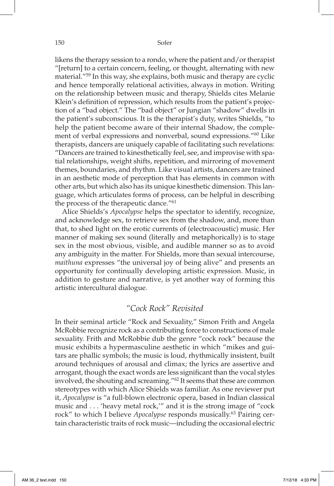likens the therapy session to a rondo, where the patient and/or therapist "[return] to a certain concern, feeling, or thought, alternating with new material."59 In this way, she explains, both music and therapy are cyclic and hence temporally relational activities, always in motion. Writing on the relationship between music and therapy, Shields cites Melanie Klein's definition of repression, which results from the patient's projection of a "bad object." The "bad object" or Jungian "shadow" dwells in the patient's subconscious. It is the therapist's duty, writes Shields, "to help the patient become aware of their internal Shadow, the complement of verbal expressions and nonverbal, sound expressions."60 Like therapists, dancers are uniquely capable of facilitating such revelations: "Dancers are trained to kinesthetically feel, see, and improvise with spatial relationships, weight shifts, repetition, and mirroring of movement themes, boundaries, and rhythm. Like visual artists, dancers are trained in an aesthetic mode of perception that has elements in common with other arts, but which also has its unique kinesthetic dimension. This language, which articulates forms of process, can be helpful in describing the process of the therapeutic dance."61

Alice Shields's *Apocalypse* helps the spectator to identify, recognize, and acknowledge sex, to retrieve sex from the shadow, and, more than that, to shed light on the erotic currents of (electroacoustic) music. Her manner of making sex sound (literally and metaphorically) is to stage sex in the most obvious, visible, and audible manner so as to avoid any ambiguity in the matter. For Shields, more than sexual intercourse, *maithuna* expresses "the universal joy of being alive" and presents an opportunity for continually developing artistic expression. Music, in addition to gesture and narrative, is yet another way of forming this artistic intercultural dialogue.

#### *"Cock Rock" Revisited*

In their seminal article "Rock and Sexuality," Simon Frith and Angela McRobbie recognize rock as a contributing force to constructions of male sexuality. Frith and McRobbie dub the genre "cock rock" because the music exhibits a hypermasculine aesthetic in which "mikes and guitars are phallic symbols; the music is loud, rhythmically insistent, built around techniques of arousal and climax; the lyrics are assertive and arrogant, though the exact words are less significant than the vocal styles involved, the shouting and screaming."62 It seems that these are common stereotypes with which Alice Shields was familiar. As one reviewer put it, *Apocalypse* is "a full-blown electronic opera, based in Indian classical music and . . . 'heavy metal rock,'" and it is the strong image of "cock rock" to which I believe *Apocalypse* responds musically.63 Pairing certain characteristic traits of rock music—including the occasional electric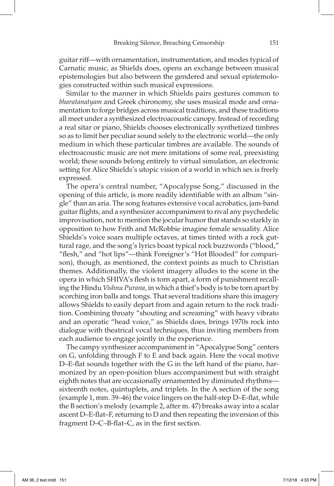guitar riff—with ornamentation, instrumentation, and modes typical of Carnatic music, as Shields does, opens an exchange between musical epistemologies but also between the gendered and sexual epistemologies constructed within such musical expressions.

Similar to the manner in which Shields pairs gestures common to *bharatanatyam* and Greek chironomy, she uses musical mode and ornamentation to forge bridges across musical traditions, and these traditions all meet under a synthesized electroacoustic canopy. Instead of recording a real sitar or piano, Shields chooses electronically synthetized timbres so as to limit her peculiar sound solely to the electronic world—the only medium in which these particular timbres are available. The sounds of electroacoustic music are not mere imitations of some real, preexisting world; these sounds belong entirely to virtual simulation, an electronic setting for Alice Shields's utopic vision of a world in which sex is freely expressed.

The opera's central number, "Apocalypse Song," discussed in the opening of this article, is more readily identifiable with an album "single" than an aria. The song features extensive vocal acrobatics, jam-band guitar flights, and a synthesizer accompaniment to rival any psychedelic improvisation, not to mention the jocular humor that stands so starkly in opposition to how Frith and McRobbie imagine female sexuality. Alice Shields's voice soars multiple octaves, at times tinted with a rock guttural rage, and the song's lyrics boast typical rock buzzwords ("blood," "flesh," and "hot lips"—think Foreigner's "Hot Blooded" for comparison), though, as mentioned, the context points as much to Christian themes. Additionally, the violent imagery alludes to the scene in the opera in which SHIVA's flesh is torn apart, a form of punishment recalling the Hindu *Vishnu Purana*, in which a thief's body is to be torn apart by scorching iron balls and tongs. That several traditions share this imagery allows Shields to easily depart from and again return to the rock tradition. Combining throaty "shouting and screaming" with heavy vibrato and an operatic "head voice," as Shields does, brings 1970s rock into dialogue with theatrical vocal techniques, thus inviting members from each audience to engage jointly in the experience.

The campy synthesizer accompaniment in "Apocalypse Song" centers on G, unfolding through F to E and back again. Here the vocal motive D–E-flat sounds together with the G in the left hand of the piano, harmonized by an open-position blues accompaniment but with straight eighth notes that are occasionally ornamented by diminuted rhythms sixteenth notes, quintuplets, and triplets. In the A section of the song (example 1, mm. 39–46) the voice lingers on the half-step D–E-flat, while the B section's melody (example 2, after m. 47) breaks away into a scalar ascent D–E-flat–F, returning to D and then repeating the inversion of this fragment D–C–B-flat–C, as in the first section.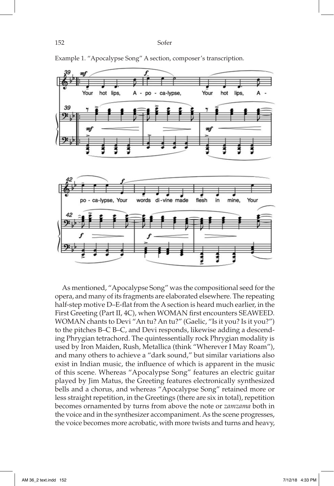

Example 1. "Apocalypse Song" A section, composer's transcription.

As mentioned, "Apocalypse Song" was the compositional seed for the opera, and many of its fragments are elaborated elsewhere. The repeating half-step motive D–E-flat from the A section is heard much earlier, in the First Greeting (Part II, 4C), when WOMAN first encounters SEAWEED. WOMAN chants to Devi "An tu? An tu?" (Gaelic, "Is it you? Is it you?") to the pitches B–C B–C, and Devi responds, likewise adding a descending Phrygian tetrachord. The quintessentially rock Phrygian modality is used by Iron Maiden, Rush, Metallica (think "Wherever I May Roam"), and many others to achieve a "dark sound," but similar variations also exist in Indian music, the influence of which is apparent in the music of this scene. Whereas "Apocalypse Song" features an electric guitar played by Jim Matus, the Greeting features electronically synthesized bells and a chorus, and whereas "Apocalypse Song" retained more or less straight repetition, in the Greetings (there are six in total), repetition becomes ornamented by turns from above the note or *zamzama* both in the voice and in the synthesizer accompaniment. As the scene progresses, the voice becomes more acrobatic, with more twists and turns and heavy,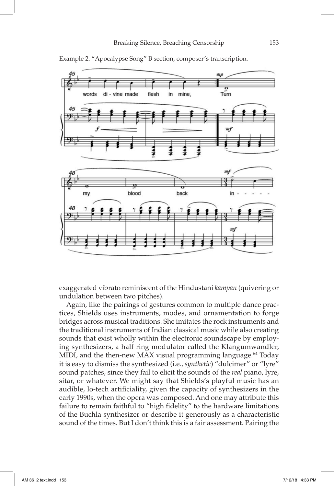

Example 2. "Apocalypse Song" B section, composer's transcription.

exaggerated vibrato reminiscent of the Hindustani *kampan* (quivering or undulation between two pitches).

Again, like the pairings of gestures common to multiple dance practices, Shields uses instruments, modes, and ornamentation to forge bridges across musical traditions. She imitates the rock instruments and the traditional instruments of Indian classical music while also creating sounds that exist wholly within the electronic soundscape by employing synthesizers, a half ring modulator called the Klangumwandler, MIDI, and the then-new MAX visual programming language.<sup>64</sup> Today it is easy to dismiss the synthesized (i.e., *synthetic*) "dulcimer" or "lyre" sound patches, since they fail to elicit the sounds of the *real* piano, lyre, sitar, or whatever. We might say that Shields's playful music has an audible, lo-tech artificiality, given the capacity of synthesizers in the early 1990s, when the opera was composed. And one may attribute this failure to remain faithful to "high fidelity" to the hardware limitations of the Buchla synthesizer or describe it generously as a characteristic sound of the times. But I don't think this is a fair assessment. Pairing the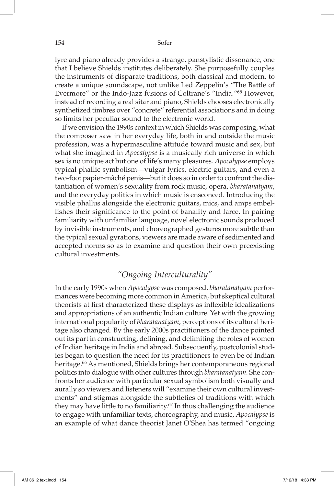lyre and piano already provides a strange, panstylistic dissonance, one that I believe Shields institutes deliberately. She purposefully couples the instruments of disparate traditions, both classical and modern, to create a unique soundscape, not unlike Led Zeppelin's "The Battle of Evermore" or the Indo-Jazz fusions of Coltrane's "India."65 However, instead of recording a real sitar and piano, Shields chooses electronically synthetized timbres over "concrete" referential associations and in doing so limits her peculiar sound to the electronic world.

If we envision the 1990s context in which Shields was composing, what the composer saw in her everyday life, both in and outside the music profession, was a hypermasculine attitude toward music and sex, but what she imagined in *Apocalypse* is a musically rich universe in which sex is no unique act but one of life's many pleasures. *Apocalypse* employs typical phallic symbolism—vulgar lyrics, electric guitars, and even a two-foot papier-mâché penis—but it does so in order to confront the distantiation of women's sexuality from rock music, opera, *bharatanatyam*, and the everyday politics in which music is ensconced. Introducing the visible phallus alongside the electronic guitars, mics, and amps embellishes their significance to the point of banality and farce. In pairing familiarity with unfamiliar language, novel electronic sounds produced by invisible instruments, and choreographed gestures more subtle than the typical sexual gyrations, viewers are made aware of sedimented and accepted norms so as to examine and question their own preexisting cultural investments.

## *"Ongoing Interculturality"*

In the early 1990s when *Apocalypse* was composed, *bharatanatyam* performances were becoming more common in America, but skeptical cultural theorists at first characterized these displays as inflexible idealizations and appropriations of an authentic Indian culture. Yet with the growing international popularity of *bharatanatyam*, perceptions of its cultural heritage also changed. By the early 2000s practitioners of the dance pointed out its part in constructing, defining, and delimiting the roles of women of Indian heritage in India and abroad. Subsequently, postcolonial studies began to question the need for its practitioners to even be of Indian heritage.<sup>66</sup> As mentioned, Shields brings her contemporaneous regional politics into dialogue with other cultures through *bharatanatyam*. She confronts her audience with particular sexual symbolism both visually and aurally so viewers and listeners will "examine their own cultural investments" and stigmas alongside the subtleties of traditions with which they may have little to no familiarity.<sup>67</sup> In thus challenging the audience to engage with unfamiliar texts, choreography, and music, *Apocalypse* is an example of what dance theorist Janet O'Shea has termed "ongoing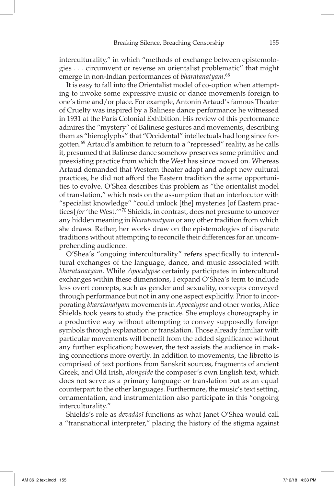interculturality," in which "methods of exchange between epistemologies . . . circumvent or reverse an orientalist problematic" that might emerge in non-Indian performances of *bharatanatyam*. 68

It is easy to fall into the Orientalist model of co-option when attempting to invoke some expressive music or dance movements foreign to one's time and/or place. For example, Antonin Artaud's famous Theater of Cruelty was inspired by a Balinese dance performance he witnessed in 1931 at the Paris Colonial Exhibition. His review of this performance admires the "mystery" of Balinese gestures and movements, describing them as "hieroglyphs" that "Occidental" intellectuals had long since forgotten.69 Artaud's ambition to return to a "repressed" reality, as he calls it, presumed that Balinese dance somehow preserves some primitive and preexisting practice from which the West has since moved on. Whereas Artaud demanded that Western theater adapt and adopt new cultural practices, he did not afford the Eastern tradition the same opportunities to evolve. O'Shea describes this problem as "the orientalist model of translation," which rests on the assumption that an interlocutor with "specialist knowledge" "could unlock [the] mysteries [of Eastern practices] *for* 'the West.'"70 Shields, in contrast, does not presume to uncover any hidden meaning in *bharatanatyam* or any other tradition from which she draws. Rather, her works draw on the epistemologies of disparate traditions without attempting to reconcile their differences for an uncomprehending audience.

 O'Shea's "ongoing interculturality" refers specifically to intercultural exchanges of the language, dance, and music associated with *bharatanatyam*. While *Apocalypse* certainly participates in intercultural exchanges within these dimensions, I expand O'Shea's term to include less overt concepts, such as gender and sexuality, concepts conveyed through performance but not in any one aspect explicitly. Prior to incorporating *bharatanatyam* movements in *Apocalypse* and other works, Alice Shields took years to study the practice. She employs choreography in a productive way without attempting to convey supposedly foreign symbols through explanation or translation. Those already familiar with particular movements will benefit from the added significance without any further explication; however, the text assists the audience in making connections more overtly. In addition to movements, the libretto is comprised of text portions from Sanskrit sources, fragments of ancient Greek, and Old Irish, *alongside* the composer's own English text, which does not serve as a primary language or translation but as an equal counterpart to the other languages. Furthermore, the music's text setting, ornamentation, and instrumentation also participate in this "ongoing interculturality."

Shields's role as *devadāsī* functions as what Janet O'Shea would call a "transnational interpreter," placing the history of the stigma against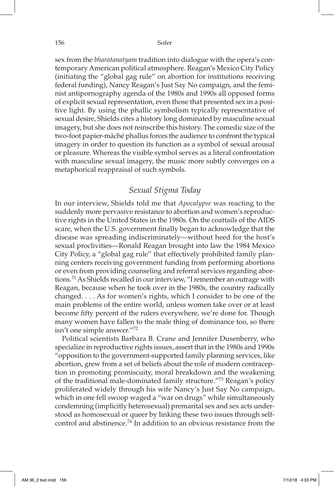sex from the *bharatanatyam* tradition into dialogue with the opera's contemporary American political atmosphere. Reagan's Mexico City Policy (initiating the "global gag rule" on abortion for institutions receiving federal funding), Nancy Reagan's Just Say No campaign, and the feminist antipornography agenda of the 1980s and 1990s all opposed forms of explicit sexual representation, even those that presented sex in a positive light. By using the phallic symbolism typically representative of sexual desire, Shields cites a history long dominated by masculine sexual imagery, but she does not reinscribe this history. The comedic size of the two-foot papier-mâché phallus forces the audience to confront the typical imagery in order to question its function as a symbol of sexual arousal or pleasure. Whereas the visible symbol serves as a literal confrontation with masculine sexual imagery, the music more subtly converges on a metaphorical reappraisal of such symbols.

## *Sexual Stigma Today*

In our interview, Shields told me that *Apocalypse* was reacting to the suddenly more pervasive resistance to abortion and women's reproductive rights in the United States in the 1980s. On the coattails of the AIDS scare, when the U.S. government finally began to acknowledge that the disease was spreading indiscriminately—without heed for the host's sexual proclivities—Ronald Reagan brought into law the 1984 Mexico City Policy, a "global gag rule" that effectively prohibited family planning centers receiving government funding from performing abortions or even from providing counseling and referral services regarding abortions.71 As Shields recalled in our interview, "I remember an outrage with Reagan, because when he took over in the 1980s, the country radically changed. . . . As for women's rights, which I consider to be one of the main problems of the entire world, unless women take over or at least become fifty percent of the rulers everywhere, we're done for. Though many women have fallen to the male thing of dominance too, so there isn't one simple answer."72

Political scientists Barbara B. Crane and Jennifer Dusenberry, who specialize in reproductive rights issues, assert that in the 1980s and 1990s "opposition to the government-supported family planning services, like abortion, grew from a set of beliefs about the role of modern contraception in promoting promiscuity, moral breakdown and the weakening of the traditional male-dominated family structure."73 Reagan's policy proliferated widely through his wife Nancy's Just Say No campaign, which in one fell swoop waged a "war on drugs" while simultaneously condemning (implicitly heterosexual) premarital sex and sex acts understood as homosexual or queer by linking these two issues through selfcontrol and abstinence.74 In addition to an obvious resistance from the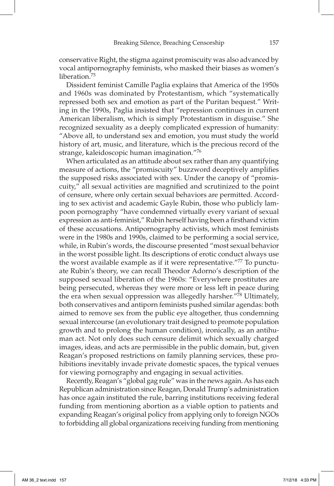conservative Right, the stigma against promiscuity was also advanced by vocal antipornography feminists, who masked their biases as women's liberation.<sup>75</sup>

Dissident feminist Camille Paglia explains that America of the 1950s and 1960s was dominated by Protestantism, which "systematically repressed both sex and emotion as part of the Puritan bequest." Writing in the 1990s, Paglia insisted that "repression continues in current American liberalism, which is simply Protestantism in disguise." She recognized sexuality as a deeply complicated expression of humanity: "Above all, to understand sex and emotion, you must study the world history of art, music, and literature, which is the precious record of the strange, kaleidoscopic human imagination."76

When articulated as an attitude about sex rather than any quantifying measure of actions, the "promiscuity" buzzword deceptively amplifies the supposed risks associated with sex. Under the canopy of "promiscuity," all sexual activities are magnified and scrutinized to the point of censure, where only certain sexual behaviors are permitted. According to sex activist and academic Gayle Rubin, those who publicly lampoon pornography "have condemned virtually every variant of sexual expression as anti-feminist," Rubin herself having been a firsthand victim of these accusations. Antipornography activists, which most feminists were in the 1980s and 1990s, claimed to be performing a social service, while, in Rubin's words, the discourse presented "most sexual behavior in the worst possible light. Its descriptions of erotic conduct always use the worst available example as if it were representative."77 To punctuate Rubin's theory, we can recall Theodor Adorno's description of the supposed sexual liberation of the 1960s: "Everywhere prostitutes are being persecuted, whereas they were more or less left in peace during the era when sexual oppression was allegedly harsher."78 Ultimately, both conservatives and antiporn feminists pushed similar agendas: both aimed to remove sex from the public eye altogether, thus condemning sexual intercourse (an evolutionary trait designed to promote population growth and to prolong the human condition), ironically, as an antihuman act. Not only does such censure delimit which sexually charged images, ideas, and acts are permissible in the public domain, but, given Reagan's proposed restrictions on family planning services, these prohibitions inevitably invade private domestic spaces, the typical venues for viewing pornography and engaging in sexual activities.

 Recently, Reagan's "global gag rule" was in the news again. As has each Republican administration since Reagan, Donald Trump's administration has once again instituted the rule, barring institutions receiving federal funding from mentioning abortion as a viable option to patients and expanding Reagan's original policy from applying only to foreign NGOs to forbidding all global organizations receiving funding from mentioning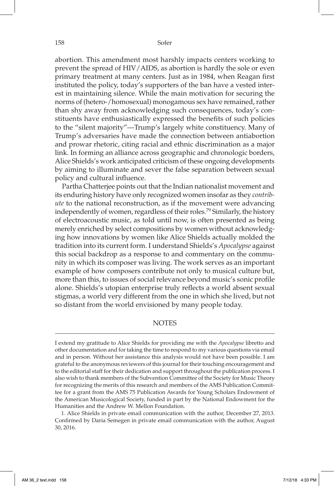abortion. This amendment most harshly impacts centers working to prevent the spread of HIV/AIDS, as abortion is hardly the sole or even primary treatment at many centers. Just as in 1984, when Reagan first instituted the policy, today's supporters of the ban have a vested interest in maintaining silence. While the main motivation for securing the norms of (hetero-/homosexual) monogamous sex have remained, rather than shy away from acknowledging such consequences, today's constituents have enthusiastically expressed the benefits of such policies to the "silent majority"—Trump's largely white constituency. Many of Trump's adversaries have made the connection between antiabortion and prowar rhetoric, citing racial and ethnic discrimination as a major link. In forming an alliance across geographic and chronologic borders, Alice Shields's work anticipated criticism of these ongoing developments by aiming to illuminate and sever the false separation between sexual policy and cultural influence.

Partha Chatterjee points out that the Indian nationalist movement and its enduring history have only recognized women insofar as they *contribute* to the national reconstruction, as if the movement were advancing independently of women, regardless of their roles.<sup>79</sup> Similarly, the history of electroacoustic music, as told until now, is often presented as being merely enriched by select compositions by women without acknowledging how innovations by women like Alice Shields actually molded the tradition into its current form. I understand Shields's *Apocalypse* against this social backdrop as a response to and commentary on the community in which its composer was living. The work serves as an important example of how composers contribute not only to musical culture but, more than this, to issues of social relevance beyond music's sonic profile alone. Shields's utopian enterprise truly reflects a world absent sexual stigmas, a world very different from the one in which she lived, but not so distant from the world envisioned by many people today.

#### **NOTES**

I extend my gratitude to Alice Shields for providing me with the *Apocalypse* libretto and other documentation and for taking the time to respond to my various questions via email and in person. Without her assistance this analysis would not have been possible. I am grateful to the anonymous reviewers of this journal for their touching encouragement and to the editorial staff for their dedication and support throughout the publication process. I also wish to thank members of the Subvention Committee of the Society for Music Theory for recognizing the merits of this research and members of the AMS Publication Committee for a grant from the AMS 75 Publication Awards for Young Scholars Endowment of the American Musicological Society, funded in part by the National Endowment for the Humanities and the Andrew W. Mellon Foundation.

1. Alice Shields in private email communication with the author, December 27, 2013. Confirmed by Daria Semegen in private email communication with the author, August 30, 2016.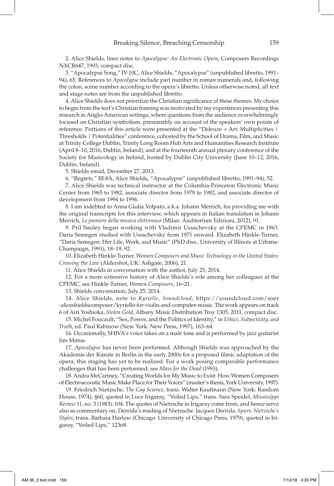2. Alice Shields, liner notes to *Apocalypse: An Electronic Opera*, Composers Recordings NXCR647, 1993, compact disc.

3. "Apocalypse Song," IV:10C, Alice Shields, "Apocalypse" (unpublished libretto, 1991– 94), 65. References to *Apocalypse* include part number in roman numerals and, following the colon, scene number according to the opera's libretto. Unless otherwise noted, all text and stage notes are from the unpublished libretto.

4. Alice Shields does not prioritize the Christian significance of these themes. My choice to begin from the text's Christian framing was motivated by my experiences presenting this research in Anglo-American settings, where questions from the audience overwhelmingly focused on Christian symbolism, presumably on account of the speakers' own points of reference. Portions of this article were presented at the "Deleuze + Art: Multiplicities | Thresholds | Potentialities" conference, cohosted by the School of Drama, Film, and Music at Trinity College Dublin, Trinity Long Room Hub Arts and Humanities Research Institute (April 8–10, 2016, Dublin, Ireland); and at the fourteenth annual plenary conference of the Society for Musicology in Ireland, hosted by Dublin City University (June 10–12, 2016, Dublin, Ireland).

5. Shields email, December 27, 2013.

6. "Regrets," III:8A, Alice Shields, "Apocalypse" (unpublished libretto, 1991–94), 52.

7. Alice Shields was technical instructor at the Columbia-Princeton Electronic Music Center from 1965 to 1982, associate director from 1978 to 1982, and associate director of development from 1994 to 1996.

8. I am indebted to Anna Giulia Volpato, a.k.a. Johann Merrich, for providing me with the original transcripts for this interview, which appears in Italian translation in Johann Merrich, *Le pioniere della musica elettronica* (Milan: Auditorium Edizioni, 2012), 91.

9. Pril Smiley began working with Vladimir Ussachevsky at the CPEMC in 1963. Daria Semegen studied with Ussachevsky from 1971 onward. Elizabeth Hinkle-Turner, "Daria Semegen: Her Life, Work, and Music" (PhD diss., University of Illinois at Urbana-Champaign, 1991), 18–19, 92.

10. Elizabeth Hinkle-Turner, *Women Composers and Music Technology in the United States: Crossing the Line* (Aldershot, UK: Ashgate, 2006), 21.

11. Alice Shields in conversation with the author, July 25, 2014.

12. For a more extensive history of Alice Shields's role among her colleagues at the CPEMC, see Hinkle-Turner, *Women Composers*, 16–21.

13. Shields conversation, July 25, 2014.

14. Alice Shields, note to *Kyrielle*, *Soundcloud*, https://soundcloud.com/user -aliceshieldscomposer/kyrielle-for-violin-and-computer-music. The work appears on track 6 of Airi Yoshioka, *Stolen Gold*, Albany Music Distribution Troy 1305, 2011, compact disc.

15. Michel Foucault, "Sex, Power, and the Politics of Identity," in *Ethics, Subjectivity, and Truth*, ed. Paul Rabinow (New York: New Press, 1997), 163–64.

16. Occasionally, SHIVA's voice takes on a male tone and is performed by jazz guitarist Jim Matus.

17. *Apocalypse* has never been performed. Although Shields was approached by the Akademie der Künste in Berlin in the early 2000s for a proposed filmic adaptation of the opera, this staging has yet to be realized. For a work posing comparable performance challenges that has been performed, see *Mass for the Dead* (1993).

18. Andra McCartney, "Creating Worlds for My Music to Exist: How Women Composers of Electroacoustic Music Make Place for Their Voices" (master's thesis, York University, 1997).

19. Friedrich Nietzsche, *The Gay Science*, trans. Walter Kaufmann (New York: Random House, 1974), §60, quoted in Luce Irigaray, "Veiled Lips," trans. Sara Speidel, *Mississippi Review* 11, no. 3 (1983): 104. The quotes of Nietzsche in Irigaray come from, and hence serve also as commentary on, Derrida's reading of Nietzsche. Jacques Derrida, *Spurs: Nietzsche's Styles*, trans. Barbara Harlow (Chicago: University of Chicago Press, 1979), quoted in Irigaray, "Veiled Lips," 123n8.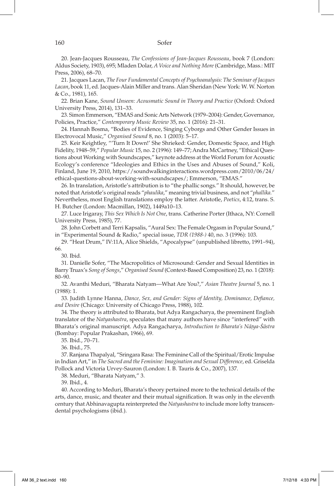#### 160 Sofer

20. Jean-Jacques Rousseau, *The Confessions of Jean-Jacques Rousseau*, book 7 (London: Aldus Society, 1903), 695; Mladen Dolar, *A Voice and Nothing More* (Cambridge, Mass.: MIT Press, 2006), 68–70.

21. Jacques Lacan, *The Four Fundamental Concepts of Psychoanalysis: The Seminar of Jacques Lacan*, book 11, ed. Jacques-Alain Miller and trans. Alan Sheridan (New York: W. W. Norton & Co., 1981), 165.

22. Brian Kane, *Sound Unseen: Acousmatic Sound in Theory and Practice* (Oxford: Oxford University Press, 2014), 131–33.

23. Simon Emmerson, "EMAS and Sonic Arts Network (1979–2004): Gender, Governance, Policies, Practice," *Contemporary Music Review* 35, no. 1 (2016): 21–31.

24. Hannah Bosma, "Bodies of Evidence, Singing Cyborgs and Other Gender Issues in Electrovocal Music," *Organised Sound* 8, no. 1 (2003): 5–17.

25. Keir Keightley, "'Turn It Down!' She Shrieked: Gender, Domestic Space, and High Fidelity, 1948–59," *Popular Music* 15, no. 2 (1996): 149–77; Andra McCartney, "Ethical Questions about Working with Soundscapes," keynote address at the World Forum for Acoustic Ecology's conference "Ideologies and Ethics in the Uses and Abuses of Sound," Koli, Finland, June 19, 2010, https://soundwalkinginteractions.wordpress.com/2010/06/24/ ethical-questions-about-working-with-soundscapes/; Emmerson, "EMAS."

26. In translation, Aristotle's attribution is to "the phallic songs." It should, however, be noted that Aristotle's original reads "*phaulika*," meaning trivial business, and not "*phallika.*" Nevertheless, most English translations employ the latter. Aristotle, *Poetics*, 4:12, trans. S. H. Butcher (London: Macmillan, 1902), 1449a10–13.

27. Luce Irigaray, *This Sex Which Is Not One*, trans. Catherine Porter (Ithaca, NY: Cornell University Press, 1985), 77.

28. John Corbett and Terri Kapsalis, "Aural Sex: The Female Orgasm in Popular Sound," in "Experimental Sound & Radio," special issue, *TDR (1988-)* 40, no. 3 (1996): 103.

29. "Heat Drum," IV:11A, Alice Shields, "Apocalypse" (unpublished libretto, 1991–94), 66.

30. Ibid.

31. Danielle Sofer, "The Macropolitics of Microsound: Gender and Sexual Identities in Barry Truax's *Song of Songs*," *Organised Sound* (Context-Based Composition) 23, no. 1 (2018): 80–90.

32. Avanthi Meduri, "Bharata Natyam—What Are You?," *Asian Theatre Journal* 5, no. 1 (1988): 1.

33. Judith Lynne Hanna, *Dance, Sex, and Gender: Signs of Identity, Dominance, Defiance, and Desire* (Chicago: University of Chicago Press, 1988), 102.

34. The theory is attributed to Bharata, but Adya Rangacharya, the preeminent English translator of the *Natyashastra*, speculates that many authors have since "interfered" with Bharata's original manuscript. Adya Rangacharya, *Introduction to Bharata's Nāṭya-Śāstra* (Bombay: Popular Prakashan, 1966), 69.

35. Ibid., 70–71.

36. Ibid., 75.

37. Ranjana Thapalyal, "Sringara Rasa: The Feminine Call of the Spiritual/Erotic Impulse in Indian Art," in *The Sacred and the Feminine: Imagination and Sexual Difference*, ed. Griselda Pollock and Victoria Urvey-Sauron (London: I. B. Tauris & Co., 2007), 137.

38. Meduri, "Bharata Natyam," 3.

39. Ibid., 4.

40. According to Meduri, Bharata's theory pertained more to the technical details of the arts, dance, music, and theater and their mutual signification. It was only in the eleventh century that Abhinavagupta reinterpreted the *Natyashastra* to include more lofty transcendental psychologisms (ibid.).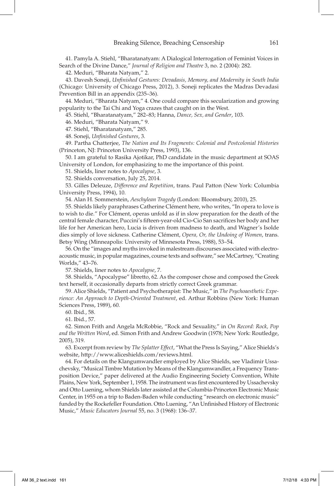41. Pamyla A. Stiehl, "Bharatanatyam: A Dialogical Interrogation of Feminist Voices in Search of the Divine Dance," *Journal of Religion and Theatre* 3, no. 2 (2004): 282.

42. Meduri, "Bharata Natyam," 2.

43. Davesh Soneji, *Unfinished Gestures: Devadasis, Memory, and Modernity in South India* (Chicago: University of Chicago Press, 2012), 3. Soneji replicates the Madras Devadasi Prevention Bill in an appendix (235–36).

44. Meduri, "Bharata Natyam," 4. One could compare this secularization and growing popularity to the Tai Chi and Yoga crazes that caught on in the West.

45. Stiehl, "Bharatanatyam," 282–83; Hanna, *Dance, Sex, and Gender*, 103.

46. Meduri, "Bharata Natyam," 9.

47. Stiehl, "Bharatanatyam," 285.

48. Soneji, *Unfinished Gestures*, 3.

49. Partha Chatterjee, *The Nation and Its Fragments: Colonial and Postcolonial Histories* (Princeton, NJ: Princeton University Press, 1993), 136.

50. I am grateful to Rasika Ajotikar, PhD candidate in the music department at SOAS University of London, for emphasizing to me the importance of this point.

51. Shields, liner notes to *Apocalypse*, 3.

52. Shields conversation, July 25, 2014.

53. Gilles Deleuze, *Difference and Repetition*, trans. Paul Patton (New York: Columbia University Press, 1994), 10.

54. Alan H. Sommerstein, *Aeschylean Tragedy* (London: Bloomsbury, 2010), 25.

55. Shields likely paraphrases Catherine Clément here, who writes, "In opera to love is to wish to die." For Clément, operas unfold as if in slow preparation for the death of the central female character, Puccini's fifteen-year-old Cio-Cio San sacrifices her body and her life for her American hero, Lucia is driven from madness to death, and Wagner's Isolde dies simply of love sickness. Catherine Clément, *Opera, Or, the Undoing of Women*, trans. Betsy Wing (Minneapolis: University of Minnesota Press, 1988), 53–54.

56. On the "images and myths invoked in malestream discourses associated with electroacoustic music, in popular magazines, course texts and software," see McCartney, "Creating Worlds," 43–76.

57. Shields, liner notes to *Apocalypse*, 7.

58. Shields, "Apocalypse" libretto, 62. As the composer chose and composed the Greek text herself, it occasionally departs from strictly correct Greek grammar.

59. Alice Shields, "Patient and Psychotherapist: The Music," in *The Psychoaesthetic Experience: An Approach to Depth-Oriented Treatment*, ed. Arthur Robbins (New York: Human Sciences Press, 1989), 60.

60. Ibid., 58.

61. Ibid., 57.

62. Simon Frith and Angela McRobbie, "Rock and Sexuality," in *On Record: Rock, Pop and the Written Word*, ed. Simon Frith and Andrew Goodwin (1978; New York: Routledge, 2005), 319.

63. Excerpt from review by *The Splatter Effect*, "What the Press Is Saying," Alice Shields's website, http://www.aliceshields.com/reviews.html.

64. For details on the Klangumwandler employed by Alice Shields, see Vladimir Ussachevsky, "Musical Timbre Mutation by Means of the Klangumwandler, a Frequency Transposition Device," paper delivered at the Audio Engineering Society Convention, White Plains, New York, September 1, 1958. The instrument was first encountered by Ussachevsky and Otto Luening, whom Shields later assisted at the Columbia-Princeton Electronic Music Center, in 1955 on a trip to Baden-Baden while conducting "research on electronic music" funded by the Rockefeller Foundation. Otto Luening, "An Unfinished History of Electronic Music," *Music Educators Journal* 55, no. 3 (1968): 136–37.